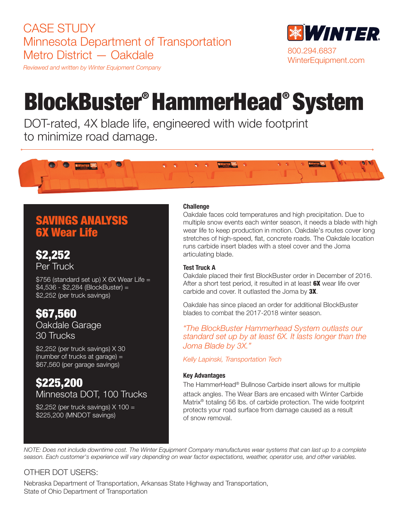# CASE STUDY Minnesota Department of Transportation Metro District — Oakdale

*Reviewed and written by Winter Equipment Company*



# BlockBuster® HammerHead® System

DOT-rated, 4X blade life, engineered with wide footprint to minimize road damage.



# SAVINGS ANALYSIS 6X Wear Life

\$2,252 Per Truck

\$756 (standard set up) X 6X Wear Life = \$4,536 - \$2,284 (BlockBuster) = \$2,252 (per truck savings)

# \$67,560

Oakdale Garage 30 Trucks

\$2,252 (per truck savings) X 30 (number of trucks at garage) = \$67,560 (per garage savings)

### \$225,200 Minnesota DOT, 100 Trucks

\$2,252 (per truck savings) X 100 = \$225,200 (MNDOT savings)

#### **Challenge**

Oakdale faces cold temperatures and high precipitation. Due to multiple snow events each winter season, it needs a blade with high wear life to keep production in motion. Oakdale's routes cover long stretches of high-speed, flat, concrete roads. The Oakdale location runs carbide insert blades with a steel cover and the Joma articulating blade.

#### Test Truck A

Oakdale placed their first BlockBuster order in December of 2016. After a short test period, it resulted in at least **6X** wear life over carbide and cover. It outlasted the Joma by 3X.

Oakdale has since placed an order for additional BlockBuster blades to combat the 2017-2018 winter season.

*"The BlockBuster Hammerhead System outlasts our standard set up by at least 6X. It lasts longer than the Joma Blade by 3X."*

*Kelly Lapinski, Transportation Tech*

#### Key Advantages

The HammerHead® Bullnose Carbide insert allows for multiple attack angles. The Wear Bars are encased with Winter Carbide Matrix® totaling 56 lbs. of carbide protection. The wide footprint protects your road surface from damage caused as a result of snow removal.

*NOTE: Does not include downtime cost. The Winter Equipment Company manufactures wear systems that can last up to a complete season. Each customer's experience will vary depending on wear factor expectations, weather, operator use, and other variables.* 

#### OTHER DOT USERS:

Nebraska Department of Transportation, Arkansas State Highway and Transportation, State of Ohio Department of Transportation